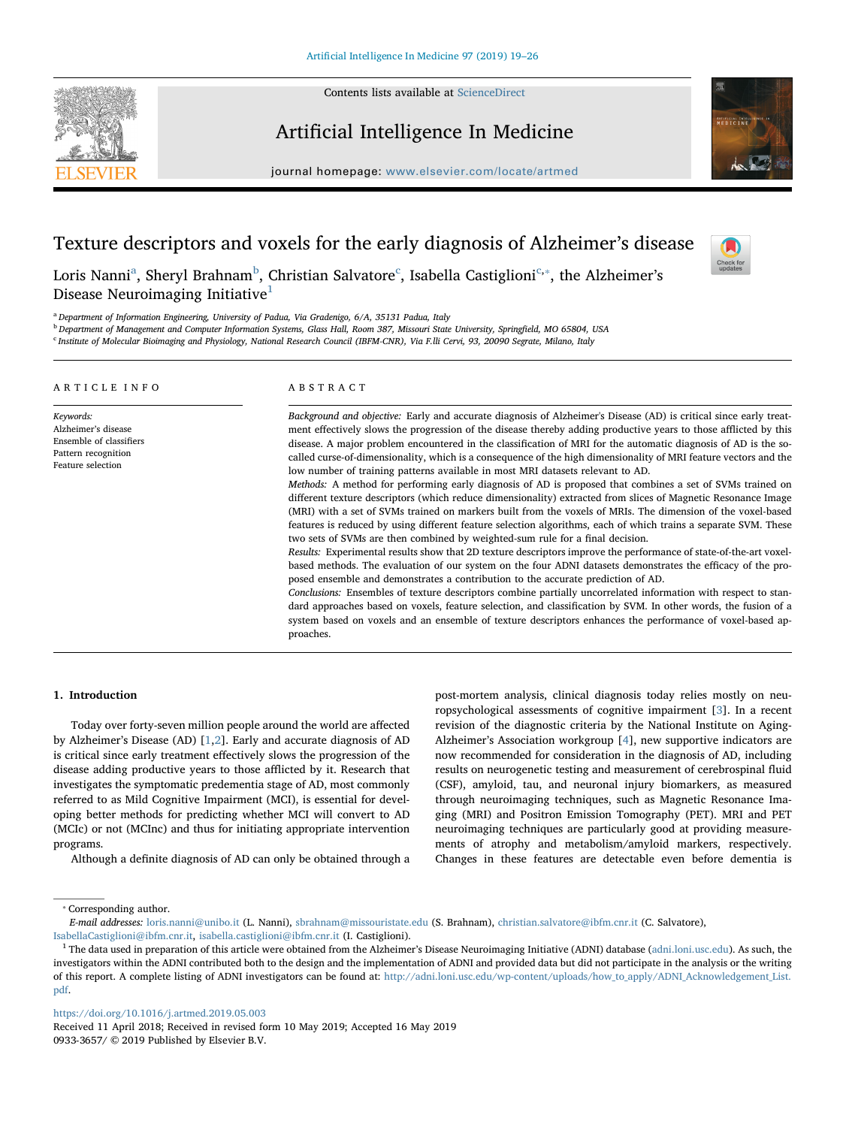Contents lists available at [ScienceDirect](http://www.sciencedirect.com/science/journal/09333657)



# Artificial Intelligence In Medicine

journal homepage: [www.elsevier.com/locate/artmed](https://www.elsevier.com/locate/artmed)



 $\sum_{\text{the}}$ 

# Texture descriptors and voxels for the early diagnosis of Alzheimer's disease

Loris N[a](#page-0-0)nni<sup>a</sup>, Sheryl Brahnam<sup>[b](#page-0-1)</sup>, Christian Salvatore<sup>[c](#page-0-2)</sup>, Isabella Castiglioni<sup>c,</sup>\*, the Alzheimer's Disease Neuroimaging Initiative $<sup>1</sup>$  $<sup>1</sup>$  $<sup>1</sup>$ </sup>

<span id="page-0-0"></span><sup>a</sup> Department of Information Engineering, University of Padua, Via Gradenigo, 6/A, 35131 Padua, Italy

<span id="page-0-1"></span>**b** Department of Management and Computer Information Systems, Glass Hall, Room 387, Missouri State University, Springfield, MO 65804, USA

<span id="page-0-2"></span><sup>c</sup> Institute of Molecular Bioimaging and Physiology, National Research Council (IBFM-CNR), Via F.lli Cervi, 93, 20090 Segrate, Milano, Italy

| ARTICLE INFO                                                                                            | ABSTRACT                                                                                                                                                                                                                                                                                                                                                                                                                                                                                                                                                                                                                                                                                                                                                                                                                                                                                                                                                                                                                                                                                                                                                                                                                                                                                                                                                                                                                                                                                                                                                                                                                                                                                                                                                                                             |  |  |  |  |
|---------------------------------------------------------------------------------------------------------|------------------------------------------------------------------------------------------------------------------------------------------------------------------------------------------------------------------------------------------------------------------------------------------------------------------------------------------------------------------------------------------------------------------------------------------------------------------------------------------------------------------------------------------------------------------------------------------------------------------------------------------------------------------------------------------------------------------------------------------------------------------------------------------------------------------------------------------------------------------------------------------------------------------------------------------------------------------------------------------------------------------------------------------------------------------------------------------------------------------------------------------------------------------------------------------------------------------------------------------------------------------------------------------------------------------------------------------------------------------------------------------------------------------------------------------------------------------------------------------------------------------------------------------------------------------------------------------------------------------------------------------------------------------------------------------------------------------------------------------------------------------------------------------------------|--|--|--|--|
| Keywords:<br>Alzheimer's disease<br>Ensemble of classifiers<br>Pattern recognition<br>Feature selection | Background and objective: Early and accurate diagnosis of Alzheimer's Disease (AD) is critical since early treat-<br>ment effectively slows the progression of the disease thereby adding productive years to those afflicted by this<br>disease. A major problem encountered in the classification of MRI for the automatic diagnosis of AD is the so-<br>called curse-of-dimensionality, which is a consequence of the high dimensionality of MRI feature vectors and the<br>low number of training patterns available in most MRI datasets relevant to AD.<br>Methods: A method for performing early diagnosis of AD is proposed that combines a set of SVMs trained on<br>different texture descriptors (which reduce dimensionality) extracted from slices of Magnetic Resonance Image<br>(MRI) with a set of SVMs trained on markers built from the voxels of MRIs. The dimension of the voxel-based<br>features is reduced by using different feature selection algorithms, each of which trains a separate SVM. These<br>two sets of SVMs are then combined by weighted-sum rule for a final decision.<br>Results: Experimental results show that 2D texture descriptors improve the performance of state-of-the-art voxel-<br>based methods. The evaluation of our system on the four ADNI datasets demonstrates the efficacy of the pro-<br>posed ensemble and demonstrates a contribution to the accurate prediction of AD.<br>Conclusions: Ensembles of texture descriptors combine partially uncorrelated information with respect to stan-<br>dard approaches based on voxels, feature selection, and classification by SVM. In other words, the fusion of a<br>system based on voxels and an ensemble of texture descriptors enhances the performance of voxel-based ap-<br>proaches. |  |  |  |  |

# 1. Introduction

Today over forty-seven million people around the world are affected by Alzheimer's Disease (AD) [\[1,](#page-7-0)[2\]](#page-7-1). Early and accurate diagnosis of AD is critical since early treatment effectively slows the progression of the disease adding productive years to those afflicted by it. Research that investigates the symptomatic predementia stage of AD, most commonly referred to as Mild Cognitive Impairment (MCI), is essential for developing better methods for predicting whether MCI will convert to AD (MCIc) or not (MCInc) and thus for initiating appropriate intervention programs.

Although a definite diagnosis of AD can only be obtained through a

post-mortem analysis, clinical diagnosis today relies mostly on neuropsychological assessments of cognitive impairment [\[3\]](#page-7-2). In a recent revision of the diagnostic criteria by the National Institute on Aging-Alzheimer's Association workgroup [\[4\]](#page-7-3), new supportive indicators are now recommended for consideration in the diagnosis of AD, including results on neurogenetic testing and measurement of cerebrospinal fluid (CSF), amyloid, tau, and neuronal injury biomarkers, as measured through neuroimaging techniques, such as Magnetic Resonance Imaging (MRI) and Positron Emission Tomography (PET). MRI and PET neuroimaging techniques are particularly good at providing measurements of atrophy and metabolism/amyloid markers, respectively. Changes in these features are detectable even before dementia is

<span id="page-0-3"></span>⁎ Corresponding author.

[pdf](http://adni.loni.usc.edu/wp-content/uploads/how_to_apply/ADNI_Acknowledgement_List.pdf).

<https://doi.org/10.1016/j.artmed.2019.05.003>

Received 11 April 2018; Received in revised form 10 May 2019; Accepted 16 May 2019 0933-3657/ © 2019 Published by Elsevier B.V.

E-mail addresses: [loris.nanni@unibo.it](mailto:loris.nanni@unibo.it) (L. Nanni), [sbrahnam@missouristate.edu](mailto:sbrahnam@missouristate.edu) (S. Brahnam), [christian.salvatore@ibfm.cnr.it](mailto:christian.salvatore@ibfm.cnr.it) (C. Salvatore), [IsabellaCastiglioni@ibfm.cnr.it,](mailto:IsabellaCastiglioni@ibfm.cnr.it) [isabella.castiglioni@ibfm.cnr.it](mailto:isabella.castiglioni@ibfm.cnr.it) (I. Castiglioni).

<span id="page-0-4"></span><sup>&</sup>lt;sup>1</sup> The data used in preparation of this article were obtained from the Alzheimer's Disease Neuroimaging Initiative (ADNI) database [\(adni.loni.usc.edu](http://adni.loni.usc.edu)). As such, the investigators within the ADNI contributed both to the design and the implementation of ADNI and provided data but did not participate in the analysis or the writing of this report. A complete listing of ADNI investigators can be found at: [http://adni.loni.usc.edu/wp-content/uploads/how\\_to\\_apply/ADNI\\_Acknowledgement\\_List.](http://adni.loni.usc.edu/wp-content/uploads/how_to_apply/ADNI_Acknowledgement_List.pdf)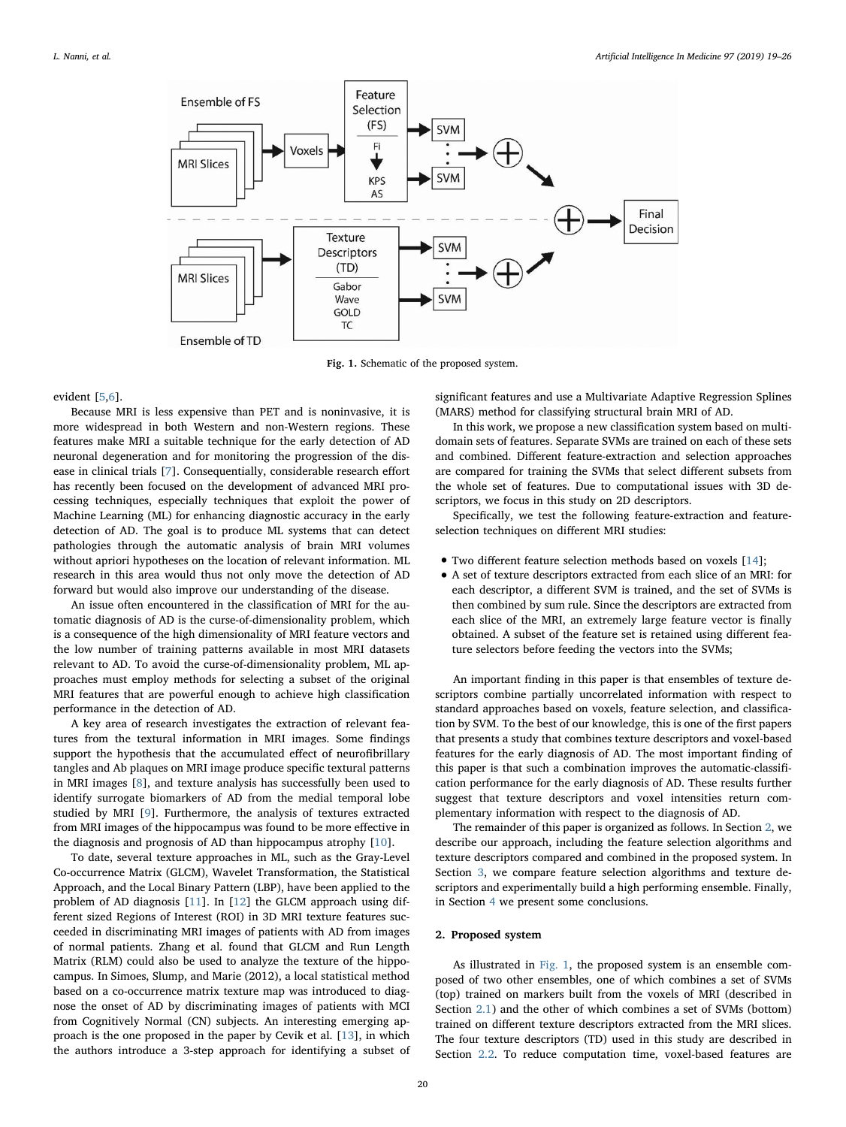<span id="page-1-1"></span>

Fig. 1. Schematic of the proposed system.

#### evident [[5](#page-7-4),[6](#page-7-5)].

Because MRI is less expensive than PET and is noninvasive, it is more widespread in both Western and non-Western regions. These features make MRI a suitable technique for the early detection of AD neuronal degeneration and for monitoring the progression of the disease in clinical trials [[7](#page-7-6)]. Consequentially, considerable research effort has recently been focused on the development of advanced MRI processing techniques, especially techniques that exploit the power of Machine Learning (ML) for enhancing diagnostic accuracy in the early detection of AD. The goal is to produce ML systems that can detect pathologies through the automatic analysis of brain MRI volumes without apriori hypotheses on the location of relevant information. ML research in this area would thus not only move the detection of AD forward but would also improve our understanding of the disease.

An issue often encountered in the classification of MRI for the automatic diagnosis of AD is the curse-of-dimensionality problem, which is a consequence of the high dimensionality of MRI feature vectors and the low number of training patterns available in most MRI datasets relevant to AD. To avoid the curse-of-dimensionality problem, ML approaches must employ methods for selecting a subset of the original MRI features that are powerful enough to achieve high classification performance in the detection of AD.

A key area of research investigates the extraction of relevant features from the textural information in MRI images. Some findings support the hypothesis that the accumulated effect of neurofibrillary tangles and Ab plaques on MRI image produce specific textural patterns in MRI images [[8](#page-7-7)], and texture analysis has successfully been used to identify surrogate biomarkers of AD from the medial temporal lobe studied by MRI [[9](#page-7-8)]. Furthermore, the analysis of textures extracted from MRI images of the hippocampus was found to be more effective in the diagnosis and prognosis of AD than hippocampus atrophy [[10\]](#page-7-9).

To date, several texture approaches in ML, such as the Gray-Level Co-occurrence Matrix (GLCM), Wavelet Transformation, the Statistical Approach, and the Local Binary Pattern (LBP), have been applied to the problem of AD diagnosis [\[11](#page-7-10)]. In [\[12](#page-7-11)] the GLCM approach using different sized Regions of Interest (ROI) in 3D MRI texture features succeeded in discriminating MRI images of patients with AD from images of normal patients. Zhang et al. found that GLCM and Run Length Matrix (RLM) could also be used to analyze the texture of the hippocampus. In Simoes, Slump, and Marie (2012), a local statistical method based on a co-occurrence matrix texture map was introduced to diagnose the onset of AD by discriminating images of patients with MCI from Cognitively Normal (CN) subjects. An interesting emerging approach is the one proposed in the paper by Cevik et al. [\[13](#page-7-12)], in which the authors introduce a 3-step approach for identifying a subset of

significant features and use a Multivariate Adaptive Regression Splines (MARS) method for classifying structural brain MRI of AD.

In this work, we propose a new classification system based on multidomain sets of features. Separate SVMs are trained on each of these sets and combined. Different feature-extraction and selection approaches are compared for training the SVMs that select different subsets from the whole set of features. Due to computational issues with 3D descriptors, we focus in this study on 2D descriptors.

Specifically, we test the following feature-extraction and featureselection techniques on different MRI studies:

- Two different feature selection methods based on voxels [\[14](#page-7-13)];
- A set of texture descriptors extracted from each slice of an MRI: for each descriptor, a different SVM is trained, and the set of SVMs is then combined by sum rule. Since the descriptors are extracted from each slice of the MRI, an extremely large feature vector is finally obtained. A subset of the feature set is retained using different feature selectors before feeding the vectors into the SVMs;

An important finding in this paper is that ensembles of texture descriptors combine partially uncorrelated information with respect to standard approaches based on voxels, feature selection, and classification by SVM. To the best of our knowledge, this is one of the first papers that presents a study that combines texture descriptors and voxel-based features for the early diagnosis of AD. The most important finding of this paper is that such a combination improves the automatic-classification performance for the early diagnosis of AD. These results further suggest that texture descriptors and voxel intensities return complementary information with respect to the diagnosis of AD.

The remainder of this paper is organized as follows. In Section [2](#page-1-0), we describe our approach, including the feature selection algorithms and texture descriptors compared and combined in the proposed system. In Section [3,](#page-4-0) we compare feature selection algorithms and texture descriptors and experimentally build a high performing ensemble. Finally, in Section [4](#page-6-0) we present some conclusions.

# <span id="page-1-0"></span>2. Proposed system

As illustrated in [Fig. 1,](#page-1-1) the proposed system is an ensemble composed of two other ensembles, one of which combines a set of SVMs (top) trained on markers built from the voxels of MRI (described in Section [2.1](#page-2-0)) and the other of which combines a set of SVMs (bottom) trained on different texture descriptors extracted from the MRI slices. The four texture descriptors (TD) used in this study are described in Section [2.2](#page-3-0). To reduce computation time, voxel-based features are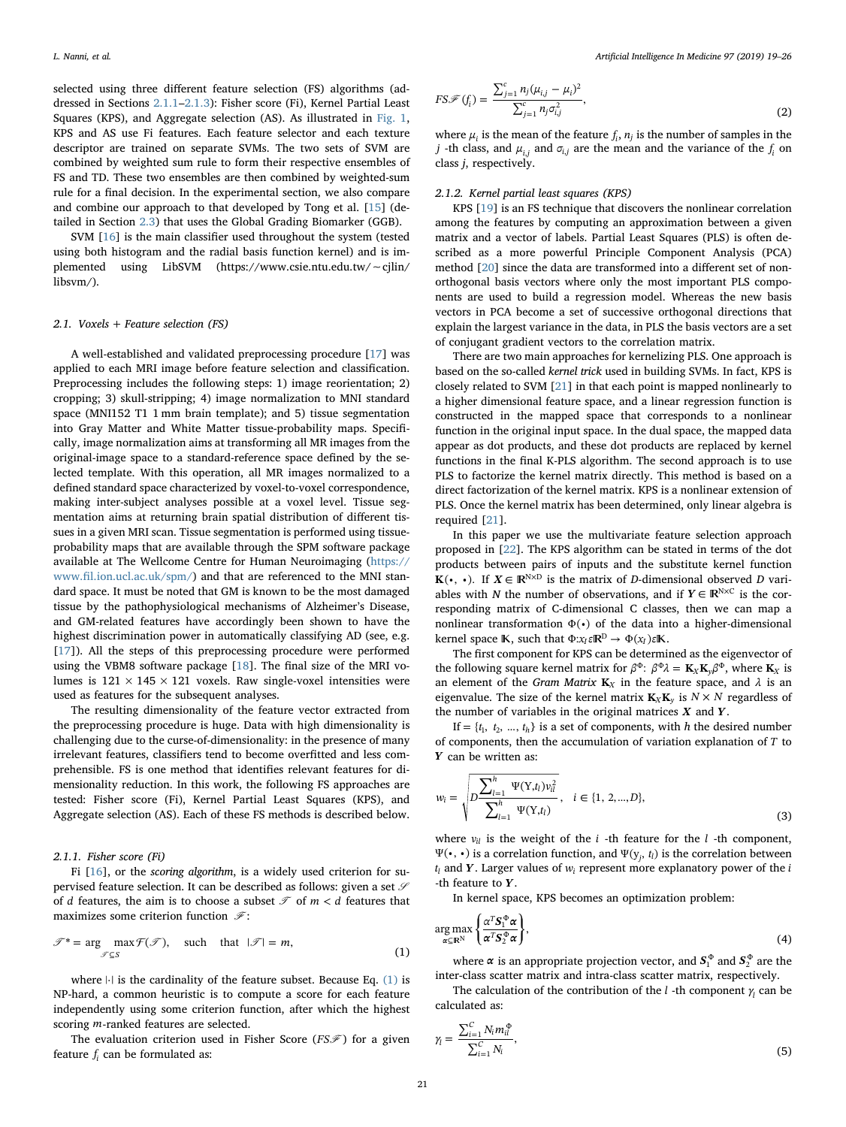selected using three different feature selection (FS) algorithms (addressed in Sections [2.1.1](#page-2-1)–[2.1.3\)](#page-3-1): Fisher score (Fi), Kernel Partial Least Squares (KPS), and Aggregate selection (AS). As illustrated in [Fig. 1](#page-1-1), KPS and AS use Fi features. Each feature selector and each texture descriptor are trained on separate SVMs. The two sets of SVM are combined by weighted sum rule to form their respective ensembles of FS and TD. These two ensembles are then combined by weighted-sum rule for a final decision. In the experimental section, we also compare and combine our approach to that developed by Tong et al. [\[15](#page-7-14)] (detailed in Section [2.3](#page-4-1)) that uses the Global Grading Biomarker (GGB).

SVM [[16](#page-7-15)] is the main classifier used throughout the system (tested using both histogram and the radial basis function kernel) and is implemented using LibSVM (https://www.csie.ntu.edu.tw/∼cjlin/ libsvm/).

#### <span id="page-2-0"></span>2.1. Voxels + Feature selection  $(FS)$

A well-established and validated preprocessing procedure [\[17](#page-7-16)] was applied to each MRI image before feature selection and classification. Preprocessing includes the following steps: 1) image reorientation; 2) cropping; 3) skull-stripping; 4) image normalization to MNI standard space (MNI152 T1 1 mm brain template); and 5) tissue segmentation into Gray Matter and White Matter tissue-probability maps. Specifically, image normalization aims at transforming all MR images from the original-image space to a standard-reference space defined by the selected template. With this operation, all MR images normalized to a defined standard space characterized by voxel-to-voxel correspondence, making inter-subject analyses possible at a voxel level. Tissue segmentation aims at returning brain spatial distribution of different tissues in a given MRI scan. Tissue segmentation is performed using tissueprobability maps that are available through the SPM software package available at The Wellcome Centre for Human Neuroimaging ([https://](https://www.fil.ion.ucl.ac.uk/spm/) www.fi[l.ion.ucl.ac.uk/spm/](https://www.fil.ion.ucl.ac.uk/spm/)) and that are referenced to the MNI standard space. It must be noted that GM is known to be the most damaged tissue by the pathophysiological mechanisms of Alzheimer's Disease, and GM-related features have accordingly been shown to have the highest discrimination power in automatically classifying AD (see, e.g. [[17\]](#page-7-16)). All the steps of this preprocessing procedure were performed using the VBM8 software package [[18](#page-7-17)]. The final size of the MRI volumes is  $121 \times 145 \times 121$  voxels. Raw single-voxel intensities were used as features for the subsequent analyses.

The resulting dimensionality of the feature vector extracted from the preprocessing procedure is huge. Data with high dimensionality is challenging due to the curse-of-dimensionality: in the presence of many irrelevant features, classifiers tend to become overfitted and less comprehensible. FS is one method that identifies relevant features for dimensionality reduction. In this work, the following FS approaches are tested: Fisher score (Fi), Kernel Partial Least Squares (KPS), and Aggregate selection (AS). Each of these FS methods is described below.

# <span id="page-2-1"></span>2.1.1. Fisher score (Fi)

Fi [\[16](#page-7-15)], or the scoring algorithm, is a widely used criterion for supervised feature selection. It can be described as follows: given a set  $\mathscr S$ of *d* features, the aim is to choose a subset  $\mathcal T$  of  $m < d$  features that maximizes some criterion function  $\mathcal{F}$ :

<span id="page-2-2"></span>
$$
\mathcal{F}^* = \arg \max_{\mathcal{F} \subseteq S} \mathcal{F}(\mathcal{F}), \quad \text{such that } |\mathcal{F}| = m,
$$
 (1)

where |⋅| is the cardinality of the feature subset. Because Eq. [\(1\)](#page-2-2) is NP-hard, a common heuristic is to compute a score for each feature independently using some criterion function, after which the highest scoring *m*-ranked features are selected.

The evaluation criterion used in Fisher Score (*FS*F) for a given feature  $f_i$  can be formulated as:

$$
FS\mathscr{F}(f_i) = \frac{\sum_{j=1}^{c} n_j (\mu_{i,j} - \mu_i)^2}{\sum_{j=1}^{c} n_j \sigma_{i,j}^2},
$$
\n(2)

where  $\mu_i$  is the mean of the feature  $f_i$ ,  $n_j$  is the number of samples in the *j* -th class, and  $\mu_{i,j}$  and  $\sigma_{i,j}$  are the mean and the variance of the  $f_i$  on class j, respectively.

### 2.1.2. Kernel partial least squares (KPS)

KPS [\[19](#page-7-18)] is an FS technique that discovers the nonlinear correlation among the features by computing an approximation between a given matrix and a vector of labels. Partial Least Squares (PLS) is often described as a more powerful Principle Component Analysis (PCA) method [\[20](#page-7-19)] since the data are transformed into a different set of nonorthogonal basis vectors where only the most important PLS components are used to build a regression model. Whereas the new basis vectors in PCA become a set of successive orthogonal directions that explain the largest variance in the data, in PLS the basis vectors are a set of conjugant gradient vectors to the correlation matrix.

There are two main approaches for kernelizing PLS. One approach is based on the so-called kernel trick used in building SVMs. In fact, KPS is closely related to SVM [[21\]](#page-7-20) in that each point is mapped nonlinearly to a higher dimensional feature space, and a linear regression function is constructed in the mapped space that corresponds to a nonlinear function in the original input space. In the dual space, the mapped data appear as dot products, and these dot products are replaced by kernel functions in the final K-PLS algorithm. The second approach is to use PLS to factorize the kernel matrix directly. This method is based on a direct factorization of the kernel matrix. KPS is a nonlinear extension of PLS. Once the kernel matrix has been determined, only linear algebra is required [\[21](#page-7-20)].

In this paper we use the multivariate feature selection approach proposed in [\[22](#page-7-21)]. The KPS algorithm can be stated in terms of the dot products between pairs of inputs and the substitute kernel function **K**( $\cdot$ ,  $\cdot$ ). If  $X \in \mathbb{R}^{N \times D}$  is the matrix of D-dimensional observed D variables with N the number of observations, and if  $Y \in \mathbb{R}^{N \times C}$  is the corresponding matrix of C-dimensional C classes, then we can map a nonlinear transformation  $\Phi(\cdot)$  of the data into a higher-dimensional kernel space **K**, such that  $\Phi: x_i \in \mathbb{R}^D \to \Phi(x_i) \in \mathbb{K}$ .

The first component for KPS can be determined as the eigenvector of the following square kernel matrix for  $\beta^{\Phi}$ :  $\beta^{\Phi}\lambda = \mathbf{K}_X\mathbf{K}_v\beta^{\Phi}$ , where  $\mathbf{K}_X$  is an element of the *Gram Matrix*  $K_X$  in the feature space, and  $\lambda$  is an eigenvalue. The size of the kernel matrix  $\mathbf{K}_{X}\mathbf{K}_{y}$  is  $N \times N$  regardless of the number of variables in the original matrices *X* and *Y* .

If  $= \{t_1, t_2, ..., t_h\}$  is a set of components, with h the desired number of components, then the accumulation of variation explanation of *T* to *Y* can be written as:

$$
w_{i} = \sqrt{D \frac{\sum_{l=1}^{h} \Psi(Y,t_{l}) v_{il}^{2}}{\sum_{l=1}^{h} \Psi(Y,t_{l})}}, \quad i \in \{1, 2,...,D\},
$$
\n(3)

where  $v_{il}$  is the weight of the  $i$  -th feature for the  $l$  -th component,  $Ψ(•, •)$  is a correlation function, and  $Ψ(y<sub>j</sub>, t<sub>l</sub>)$  is the correlation between  $t_l$  and *Y*. Larger values of  $w_i$  represent more explanatory power of the *i* -th feature to *Y* .

In kernel space, KPS becomes an optimization problem:

$$
\underset{\alpha \subseteq \mathbb{R}^N}{\arg \max} \left\{ \frac{\alpha^T S_1^{\Phi} \alpha}{\alpha^T S_2^{\Phi} \alpha} \right\},\tag{4}
$$

where  $\alpha$  is an appropriate projection vector, and  $S_1^{\Phi}$  and  $S_2^{\Phi}$  are the inter-class scatter matrix and intra-class scatter matrix, respectively.

The calculation of the contribution of the *l* -th component  $\gamma_l$  can be calculated as:

$$
\gamma_l = \frac{\sum_{i=1}^{C} N_i m_{il}^{\Phi}}{\sum_{i=1}^{C} N_i},\tag{5}
$$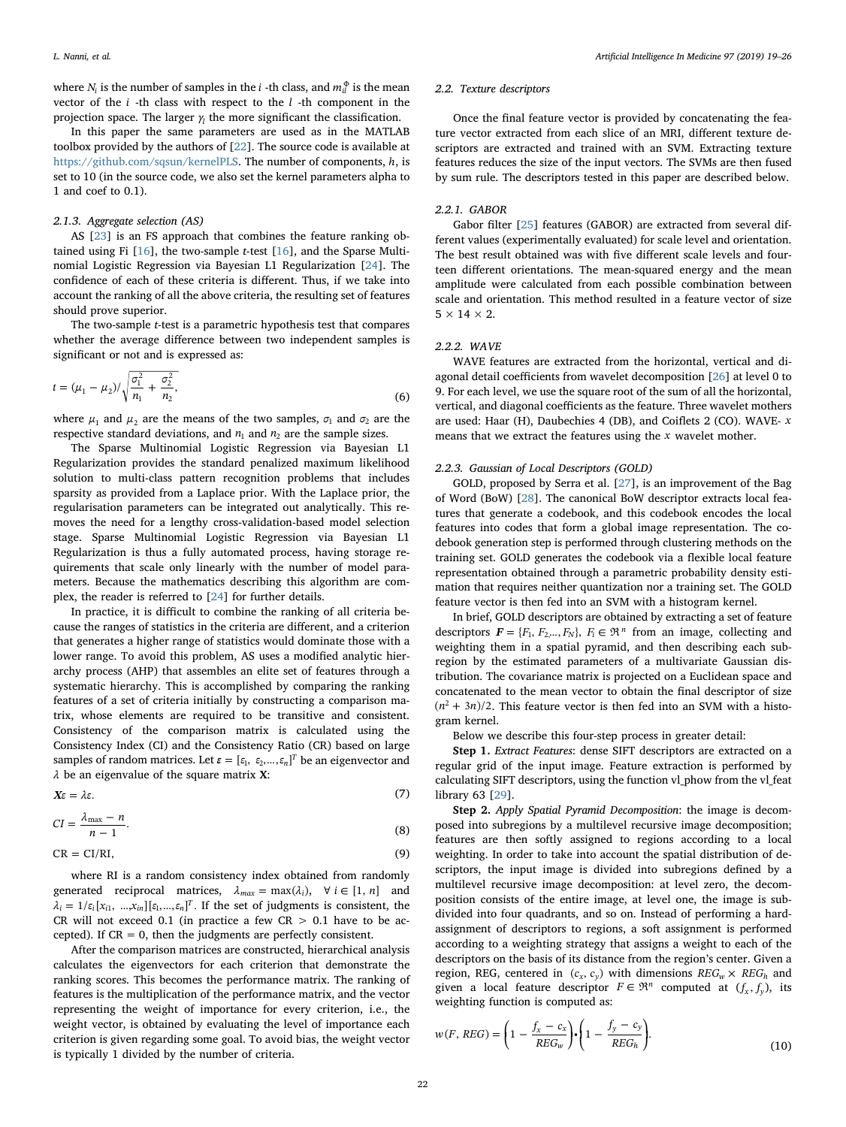where  $N_i$  is the number of samples in the *i* -th class, and  $m_{il}^{\Phi}$  is the mean vector of the *i* -th class with respect to the *l* -th component in the projection space. The larger  $\gamma$  the more significant the classification.

In this paper the same parameters are used as in the MATLAB toolbox provided by the authors of [[22\]](#page-7-21). The source code is available at [https://github.com/sqsun/kernelPLS.](https://github.com/sqsun/kernelPLS) The number of components, *h*, is set to 10 (in the source code, we also set the kernel parameters alpha to 1 and coef to 0.1).

## <span id="page-3-1"></span>2.1.3. Aggregate selection (AS)

AS [\[23](#page-7-22)] is an FS approach that combines the feature ranking obtained using Fi [[16\]](#page-7-15), the two-sample t-test [[16\]](#page-7-15), and the Sparse Multinomial Logistic Regression via Bayesian L1 Regularization [\[24](#page-7-23)]. The confidence of each of these criteria is different. Thus, if we take into account the ranking of all the above criteria, the resulting set of features should prove superior.

The two-sample t-test is a parametric hypothesis test that compares whether the average difference between two independent samples is significant or not and is expressed as:

$$
t = (\mu_1 - \mu_2) / \sqrt{\frac{\sigma_1^2}{n_1} + \frac{\sigma_2^2}{n_2}},
$$
\n(6)

where  $\mu_1$  and  $\mu_2$  are the means of the two samples,  $\sigma_1$  and  $\sigma_2$  are the respective standard deviations, and  $n_1$  and  $n_2$  are the sample sizes.

The Sparse Multinomial Logistic Regression via Bayesian L1 Regularization provides the standard penalized maximum likelihood solution to multi-class pattern recognition problems that includes sparsity as provided from a Laplace prior. With the Laplace prior, the regularisation parameters can be integrated out analytically. This removes the need for a lengthy cross-validation-based model selection stage. Sparse Multinomial Logistic Regression via Bayesian L1 Regularization is thus a fully automated process, having storage requirements that scale only linearly with the number of model parameters. Because the mathematics describing this algorithm are complex, the reader is referred to [[24](#page-7-23)] for further details.

In practice, it is difficult to combine the ranking of all criteria because the ranges of statistics in the criteria are different, and a criterion that generates a higher range of statistics would dominate those with a lower range. To avoid this problem, AS uses a modified analytic hierarchy process (AHP) that assembles an elite set of features through a systematic hierarchy. This is accomplished by comparing the ranking features of a set of criteria initially by constructing a comparison matrix, whose elements are required to be transitive and consistent. Consistency of the comparison matrix is calculated using the Consistency Index (CI) and the Consistency Ratio (CR) based on large samples of random matrices. Let  $\varepsilon = [\varepsilon_1, \varepsilon_2, ..., \varepsilon_n]^T$  be an eigenvector and *λ* be an eigenvalue of the square matrix X:

$$
X\varepsilon = \lambda \varepsilon. \tag{7}
$$

 $CI = \frac{\lambda_{\text{max}} - n}{n - 1}.$ (8)

$$
CR = CI/RI,
$$
\n(9)

where RI is a random consistency index obtained from randomly generated reciprocal matrices,  $\lambda_{max} = \max(\lambda_i)$ ,  $\forall i \in [1, n]$  and  $\lambda_i = 1/\varepsilon_i$  [ $x_{i1}, \dots, x_{in}$ ][ $\varepsilon_1, \dots, \varepsilon_n$ ]<sup>T</sup>. If the set of judgments is consistent, the CR will not exceed 0.1 (in practice a few  $CR > 0.1$  have to be accepted). If  $CR = 0$ , then the judgments are perfectly consistent.

After the comparison matrices are constructed, hierarchical analysis calculates the eigenvectors for each criterion that demonstrate the ranking scores. This becomes the performance matrix. The ranking of features is the multiplication of the performance matrix, and the vector representing the weight of importance for every criterion, i.e., the weight vector, is obtained by evaluating the level of importance each criterion is given regarding some goal. To avoid bias, the weight vector is typically 1 divided by the number of criteria.

#### <span id="page-3-0"></span>2.2. Texture descriptors

Once the final feature vector is provided by concatenating the feature vector extracted from each slice of an MRI, different texture descriptors are extracted and trained with an SVM. Extracting texture features reduces the size of the input vectors. The SVMs are then fused by sum rule. The descriptors tested in this paper are described below.

# 2.2.1. GABOR

Gabor filter [[25\]](#page-7-24) features (GABOR) are extracted from several different values (experimentally evaluated) for scale level and orientation. The best result obtained was with five different scale levels and fourteen different orientations. The mean-squared energy and the mean amplitude were calculated from each possible combination between scale and orientation. This method resulted in a feature vector of size  $5 \times 14 \times 2$ .

#### 2.2.2. WAVE

WAVE features are extracted from the horizontal, vertical and diagonal detail coefficients from wavelet decomposition [[26\]](#page-7-25) at level 0 to 9. For each level, we use the square root of the sum of all the horizontal, vertical, and diagonal coefficients as the feature. Three wavelet mothers are used: Haar (H), Daubechies 4 (DB), and Coiflets 2 (CO). WAVE- *x* means that we extract the features using the *x* wavelet mother.

#### 2.2.3. Gaussian of Local Descriptors (GOLD)

GOLD, proposed by Serra et al. [\[27](#page-7-26)], is an improvement of the Bag of Word (BoW) [\[28](#page-7-27)]. The canonical BoW descriptor extracts local features that generate a codebook, and this codebook encodes the local features into codes that form a global image representation. The codebook generation step is performed through clustering methods on the training set. GOLD generates the codebook via a flexible local feature representation obtained through a parametric probability density estimation that requires neither quantization nor a training set. The GOLD feature vector is then fed into an SVM with a histogram kernel.

In brief, GOLD descriptors are obtained by extracting a set of feature descriptors  $F = \{F_1, F_2, ..., F_N\}$ ,  $F_i \in \mathbb{R}^n$  from an image, collecting and weighting them in a spatial pyramid, and then describing each subregion by the estimated parameters of a multivariate Gaussian distribution. The covariance matrix is projected on a Euclidean space and concatenated to the mean vector to obtain the final descriptor of size  $(n^2 + 3n)/2$ . This feature vector is then fed into an SVM with a histogram kernel.

Below we describe this four-step process in greater detail:

Step 1. Extract Features: dense SIFT descriptors are extracted on a regular grid of the input image. Feature extraction is performed by calculating SIFT descriptors, using the function vl\_phow from the vl\_feat library 63 [[29\]](#page-7-28).

Step 2. Apply Spatial Pyramid Decomposition: the image is decomposed into subregions by a multilevel recursive image decomposition; features are then softly assigned to regions according to a local weighting. In order to take into account the spatial distribution of descriptors, the input image is divided into subregions defined by a multilevel recursive image decomposition: at level zero, the decomposition consists of the entire image, at level one, the image is subdivided into four quadrants, and so on. Instead of performing a hardassignment of descriptors to regions, a soft assignment is performed according to a weighting strategy that assigns a weight to each of the descriptors on the basis of its distance from the region's center. Given a region, REG, centered in  $(c_x, c_y)$  with dimensions  $REG_w \times REG_h$  and given a local feature descriptor  $F \in \mathbb{R}^n$  computed at  $(f_x, f_y)$ , its weighting function is computed as:

$$
w(F, REG) = \left(1 - \frac{f_x - c_x}{REG_w}\right) \cdot \left(1 - \frac{f_y - c_y}{REG_h}\right). \tag{10}
$$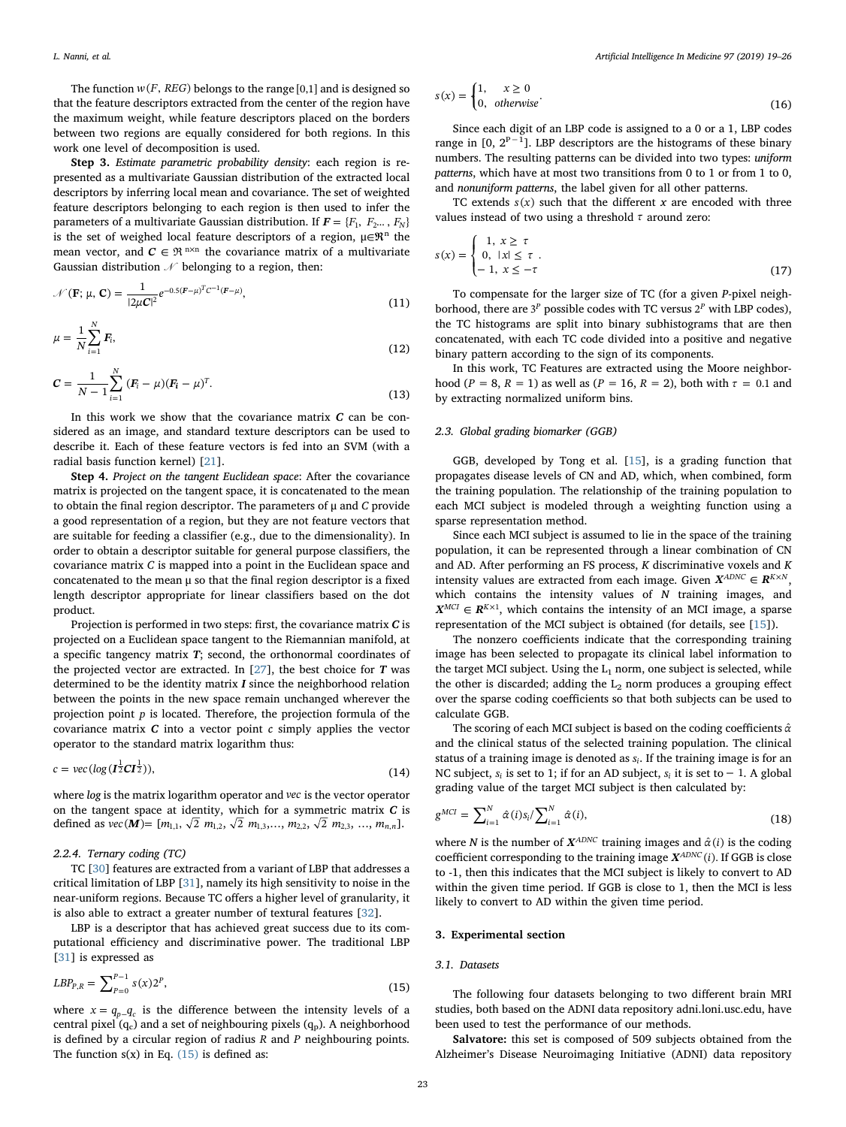The function  $w(F, REG)$  belongs to the range [0,1] and is designed so that the feature descriptors extracted from the center of the region have the maximum weight, while feature descriptors placed on the borders between two regions are equally considered for both regions. In this work one level of decomposition is used.

Step 3. Estimate parametric probability density: each region is represented as a multivariate Gaussian distribution of the extracted local descriptors by inferring local mean and covariance. The set of weighted feature descriptors belonging to each region is then used to infer the parameters of a multivariate Gaussian distribution. If  $F = \{F_1, F_2, \ldots, F_N\}$ is the set of weighed local feature descriptors of a region,  $\mu \in \mathbb{R}^n$  the mean vector, and  $C \in \mathbb{R}^{n \times n}$  the covariance matrix of a multivariate Gaussian distribution  $\mathcal N$  belonging to a region, then:

$$
\mathcal{N}(\mathbf{F}; \mu, \mathbf{C}) = \frac{1}{|2\mu \mathbf{C}|^2} e^{-0.5(\mathbf{F} - \mu)^T \mathbf{C}^{-1} (\mathbf{F} - \mu)},
$$
\n(11)

$$
\mu = \frac{1}{N} \sum_{i=1}^{N} F_i,
$$
\n(12)

$$
C = \frac{1}{N-1} \sum_{i=1}^{N} (F_i - \mu)(F_i - \mu)^T.
$$
\n(13)

In this work we show that the covariance matrix  $C$  can be considered as an image, and standard texture descriptors can be used to describe it. Each of these feature vectors is fed into an SVM (with a radial basis function kernel) [[21\]](#page-7-20).

Step 4. Project on the tangent Euclidean space: After the covariance matrix is projected on the tangent space, it is concatenated to the mean to obtain the final region descriptor. The parameters of μ and C provide a good representation of a region, but they are not feature vectors that are suitable for feeding a classifier (e.g., due to the dimensionality). In order to obtain a descriptor suitable for general purpose classifiers, the covariance matrix C is mapped into a point in the Euclidean space and concatenated to the mean μ so that the final region descriptor is a fixed length descriptor appropriate for linear classifiers based on the dot product.

Projection is performed in two steps: first, the covariance matrix  $C$  is projected on a Euclidean space tangent to the Riemannian manifold, at a specific tangency matrix  $T$ ; second, the orthonormal coordinates of the projected vector are extracted. In  $[27]$  $[27]$ , the best choice for  $T$  was determined to be the identity matrix  $I$  since the neighborhood relation between the points in the new space remain unchanged wherever the projection point *p* is located. Therefore, the projection formula of the covariance matrix  $C$  into a vector point  $c$  simply applies the vector operator to the standard matrix logarithm thus:

$$
c = \text{vec}(\log(\mathbf{I}_2^{\frac{1}{2}}\mathbf{C}\mathbf{I}_2^{\frac{1}{2}})),\tag{14}
$$

where log is the matrix logarithm operator and *vec* is the vector operator on the tangent space at identity, which for a symmetric matrix  $C$  is defined as  $vec(\textbf{M}) = [m_{1,1}, \sqrt{2} \ m_{1,2}, \sqrt{2} \ m_{1,3}, \dots, m_{2,2}, \sqrt{2} \ m_{2,3}, \dots, m_{n,n}].$ 

# 2.2.4. Ternary coding (TC)

TC [\[30](#page-7-29)] features are extracted from a variant of LBP that addresses a critical limitation of LBP [[31\]](#page-7-30), namely its high sensitivity to noise in the near-uniform regions. Because TC offers a higher level of granularity, it is also able to extract a greater number of textural features [\[32\]](#page-7-31).

<span id="page-4-2"></span>LBP is a descriptor that has achieved great success due to its computational efficiency and discriminative power. The traditional LBP [[31\]](#page-7-30) is expressed as

$$
LBP_{P,R} = \sum_{P=0}^{P-1} s(x) 2^P,
$$
\n(15)

where  $x = q_{n-q_c}$  is the difference between the intensity levels of a central pixel  $(q_c)$  and a set of neighbouring pixels  $(q_p)$ . A neighborhood is defined by a circular region of radius *R* and *P* neighbouring points. The function  $s(x)$  in Eq.  $(15)$  is defined as:

$$
s(x) = \begin{cases} 1, & x \ge 0 \\ 0, & \text{otherwise} \end{cases}
$$
 (16)

Since each digit of an LBP code is assigned to a 0 or a 1, LBP codes range in  $[0, 2^{P-1}]$ . LBP descriptors are the histograms of these binary numbers. The resulting patterns can be divided into two types: uniform patterns, which have at most two transitions from 0 to 1 or from 1 to 0, and nonuniform patterns, the label given for all other patterns.

TC extends  $s(x)$  such that the different x are encoded with three values instead of two using a threshold *τ* around zero:

$$
s(x) = \begin{cases} 1, & x \ge \tau \\ 0, & |x| \le \tau \\ -1, & x \le -\tau \end{cases}
$$
(17)

To compensate for the larger size of TC (for a given P-pixel neighborhood, there are  $3^p$  possible codes with TC versus  $2^p$  with LBP codes), the TC histograms are split into binary subhistograms that are then concatenated, with each TC code divided into a positive and negative binary pattern according to the sign of its components.

In this work, TC Features are extracted using the Moore neighborhood (*P* = 8, *R* = 1) as well as (*P* = 16, *R* = 2), both with  $\tau$  = 0.1 and by extracting normalized uniform bins.

# <span id="page-4-1"></span>2.3. Global grading biomarker (GGB)

GGB, developed by Tong et al. [[15\]](#page-7-14), is a grading function that propagates disease levels of CN and AD, which, when combined, form the training population. The relationship of the training population to each MCI subject is modeled through a weighting function using a sparse representation method.

Since each MCI subject is assumed to lie in the space of the training population, it can be represented through a linear combination of CN and AD. After performing an FS process,  $K$  discriminative voxels and  $K$ intensity values are extracted from each image. Given  $X^{ADNC} \in \mathbb{R}^{K \times N}$ , which contains the intensity values of N training images, and  $X^{MCI} \in \mathbb{R}^{K \times 1}$ , which contains the intensity of an MCI image, a sparse representation of the MCI subject is obtained (for details, see [[15\]](#page-7-14)).

The nonzero coefficients indicate that the corresponding training image has been selected to propagate its clinical label information to the target MCI subject. Using the  $L_1$  norm, one subject is selected, while the other is discarded; adding the  $L_2$  norm produces a grouping effect over the sparse coding coefficients so that both subjects can be used to calculate GGB.

The scoring of each MCI subject is based on the coding coefficients *α*ˆ and the clinical status of the selected training population. The clinical status of a training image is denoted as *si*. If the training image is for an NC subject, *si* is set to 1; if for an AD subject, *si* it is set to − 1. A global grading value of the target MCI subject is then calculated by:

$$
g^{MCI} = \sum_{i=1}^{N} \hat{\alpha}(i) s_i / \sum_{i=1}^{N} \hat{\alpha}(i),
$$
\n(18)

where N is the number of  $X^{ADNC}$  training images and  $\hat{\alpha}(i)$  is the coding coefficient corresponding to the training image  $X^{ADNC}(i)$ . If GGB is close to -1, then this indicates that the MCI subject is likely to convert to AD within the given time period. If GGB is close to 1, then the MCI is less likely to convert to AD within the given time period.

# <span id="page-4-0"></span>3. Experimental section

# 3.1. Datasets

The following four datasets belonging to two different brain MRI studies, both based on the ADNI data repository adni.loni.usc.edu, have been used to test the performance of our methods.

Salvatore: this set is composed of 509 subjects obtained from the Alzheimer's Disease Neuroimaging Initiative (ADNI) data repository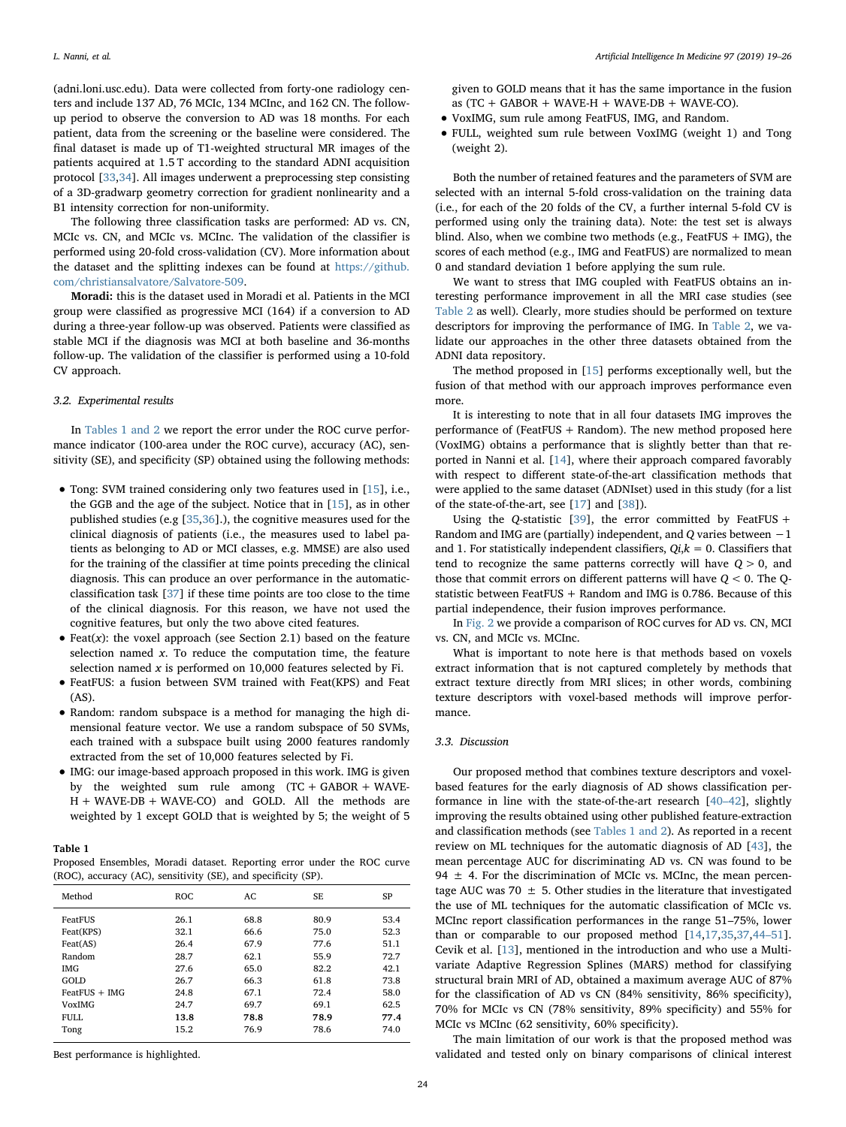(adni.loni.usc.edu). Data were collected from forty-one radiology centers and include 137 AD, 76 MCIc, 134 MCInc, and 162 CN. The followup period to observe the conversion to AD was 18 months. For each patient, data from the screening or the baseline were considered. The final dataset is made up of T1-weighted structural MR images of the patients acquired at 1.5 T according to the standard ADNI acquisition protocol [[33,](#page-7-32)[34\]](#page-7-33). All images underwent a preprocessing step consisting of a 3D-gradwarp geometry correction for gradient nonlinearity and a B1 intensity correction for non-uniformity.

The following three classification tasks are performed: AD vs. CN, MCIc vs. CN, and MCIc vs. MCInc. The validation of the classifier is performed using 20-fold cross-validation (CV). More information about the dataset and the splitting indexes can be found at [https://github.](https://github.com/christiansalvatore/Salvatore-509) [com/christiansalvatore/Salvatore-509.](https://github.com/christiansalvatore/Salvatore-509)

Moradi: this is the dataset used in Moradi et al. Patients in the MCI group were classified as progressive MCI (164) if a conversion to AD during a three-year follow-up was observed. Patients were classified as stable MCI if the diagnosis was MCI at both baseline and 36-months follow-up. The validation of the classifier is performed using a 10-fold CV approach.

#### 3.2. Experimental results

In [Tables 1 and 2](#page-5-0) we report the error under the ROC curve performance indicator (100-area under the ROC curve), accuracy (AC), sensitivity (SE), and specificity (SP) obtained using the following methods:

- Tong: SVM trained considering only two features used in [\[15](#page-7-14)], i.e., the GGB and the age of the subject. Notice that in [[15\]](#page-7-14), as in other published studies (e.g [\[35](#page-7-34)[,36](#page-7-35)].), the cognitive measures used for the clinical diagnosis of patients (i.e., the measures used to label patients as belonging to AD or MCI classes, e.g. MMSE) are also used for the training of the classifier at time points preceding the clinical diagnosis. This can produce an over performance in the automaticclassification task [\[37](#page-7-36)] if these time points are too close to the time of the clinical diagnosis. For this reason, we have not used the cognitive features, but only the two above cited features.
- Feat $(x)$ : the voxel approach (see Section 2.1) based on the feature selection named  $x$ . To reduce the computation time, the feature selection named  $x$  is performed on 10,000 features selected by Fi.
- FeatFUS: a fusion between SVM trained with Feat(KPS) and Feat (AS).
- Random: random subspace is a method for managing the high dimensional feature vector. We use a random subspace of 50 SVMs, each trained with a subspace built using 2000 features randomly extracted from the set of 10,000 features selected by Fi.
- IMG: our image-based approach proposed in this work. IMG is given by the weighted sum rule among  $(TC + GABOR + WAVE-$ H + WAVE-DB + WAVE-CO) and GOLD. All the methods are weighted by 1 except GOLD that is weighted by 5; the weight of 5

#### <span id="page-5-0"></span>Table 1

Proposed Ensembles, Moradi dataset. Reporting error under the ROC curve (ROC), accuracy (AC), sensitivity (SE), and specificity (SP).

| Method          | ROC  | AC   | SE   | SP   |
|-----------------|------|------|------|------|
| FeatFUS         | 26.1 | 68.8 | 80.9 | 53.4 |
| Feat(KPS)       | 32.1 | 66.6 | 75.0 | 52.3 |
| Feat(AS)        | 26.4 | 67.9 | 77.6 | 51.1 |
| Random          | 28.7 | 62.1 | 55.9 | 72.7 |
| IMG             | 27.6 | 65.0 | 82.2 | 42.1 |
| GOLD            | 26.7 | 66.3 | 61.8 | 73.8 |
| $FeatFUS + IMG$ | 24.8 | 67.1 | 72.4 | 58.0 |
| <b>VoxIMG</b>   | 24.7 | 69.7 | 69.1 | 62.5 |
| <b>FULL</b>     | 13.8 | 78.8 | 78.9 | 77.4 |
| Tong            | 15.2 | 76.9 | 78.6 | 74.0 |

Best performance is highlighted.

given to GOLD means that it has the same importance in the fusion as  $(TC + GABOR + WAVE-H + WAVE-DB + WAVE-CO)$ .

- VoxIMG, sum rule among FeatFUS, IMG, and Random.
- FULL, weighted sum rule between VoxIMG (weight 1) and Tong (weight 2).

Both the number of retained features and the parameters of SVM are selected with an internal 5-fold cross-validation on the training data (i.e., for each of the 20 folds of the CV, a further internal 5-fold CV is performed using only the training data). Note: the test set is always blind. Also, when we combine two methods (e.g., FeatFUS  $+$  IMG), the scores of each method (e.g., IMG and FeatFUS) are normalized to mean 0 and standard deviation 1 before applying the sum rule.

We want to stress that IMG coupled with FeatFUS obtains an interesting performance improvement in all the MRI case studies (see [Table 2](#page-6-1) as well). Clearly, more studies should be performed on texture descriptors for improving the performance of IMG. In [Table 2,](#page-6-1) we validate our approaches in the other three datasets obtained from the ADNI data repository.

The method proposed in [[15\]](#page-7-14) performs exceptionally well, but the fusion of that method with our approach improves performance even more.

It is interesting to note that in all four datasets IMG improves the performance of (FeatFUS + Random). The new method proposed here (VoxIMG) obtains a performance that is slightly better than that reported in Nanni et al. [\[14](#page-7-13)], where their approach compared favorably with respect to different state-of-the-art classification methods that were applied to the same dataset (ADNIset) used in this study (for a list of the state-of-the-art, see [\[17](#page-7-16)] and [\[38](#page-7-37)]).

Using the Q-statistic [[39\]](#page-7-38), the error committed by FeatFUS + Random and IMG are (partially) independent, and Q varies between −1 and 1. For statistically independent classifiers,  $Qi, k = 0$ . Classifiers that tend to recognize the same patterns correctly will have  $Q > 0$ , and those that commit errors on different patterns will have  $Q < 0$ . The Ostatistic between FeatFUS + Random and IMG is 0.786. Because of this partial independence, their fusion improves performance.

In [Fig. 2](#page-6-2) we provide a comparison of ROC curves for AD vs. CN, MCI vs. CN, and MCIc vs. MCInc.

What is important to note here is that methods based on voxels extract information that is not captured completely by methods that extract texture directly from MRI slices; in other words, combining texture descriptors with voxel-based methods will improve performance.

#### 3.3. Discussion

Our proposed method that combines texture descriptors and voxelbased features for the early diagnosis of AD shows classification performance in line with the state-of-the-art research [\[40](#page-7-39)–42], slightly improving the results obtained using other published feature-extraction and classification methods (see [Tables 1 and 2\)](#page-5-0). As reported in a recent review on ML techniques for the automatic diagnosis of AD [[43\]](#page-7-40), the mean percentage AUC for discriminating AD vs. CN was found to be 94  $\pm$  4. For the discrimination of MCIc vs. MCInc, the mean percentage AUC was 70  $\pm$  5. Other studies in the literature that investigated the use of ML techniques for the automatic classification of MCIc vs. MCInc report classification performances in the range 51–75%, lower than or comparable to our proposed method [\[14](#page-7-13),[17](#page-7-16),[35,](#page-7-34)[37,](#page-7-36)[44](#page-7-41)–51]. Cevik et al. [\[13](#page-7-12)], mentioned in the introduction and who use a Multivariate Adaptive Regression Splines (MARS) method for classifying structural brain MRI of AD, obtained a maximum average AUC of 87% for the classification of AD vs CN (84% sensitivity, 86% specificity), 70% for MCIc vs CN (78% sensitivity, 89% specificity) and 55% for MCIc vs MCInc (62 sensitivity, 60% specificity).

The main limitation of our work is that the proposed method was validated and tested only on binary comparisons of clinical interest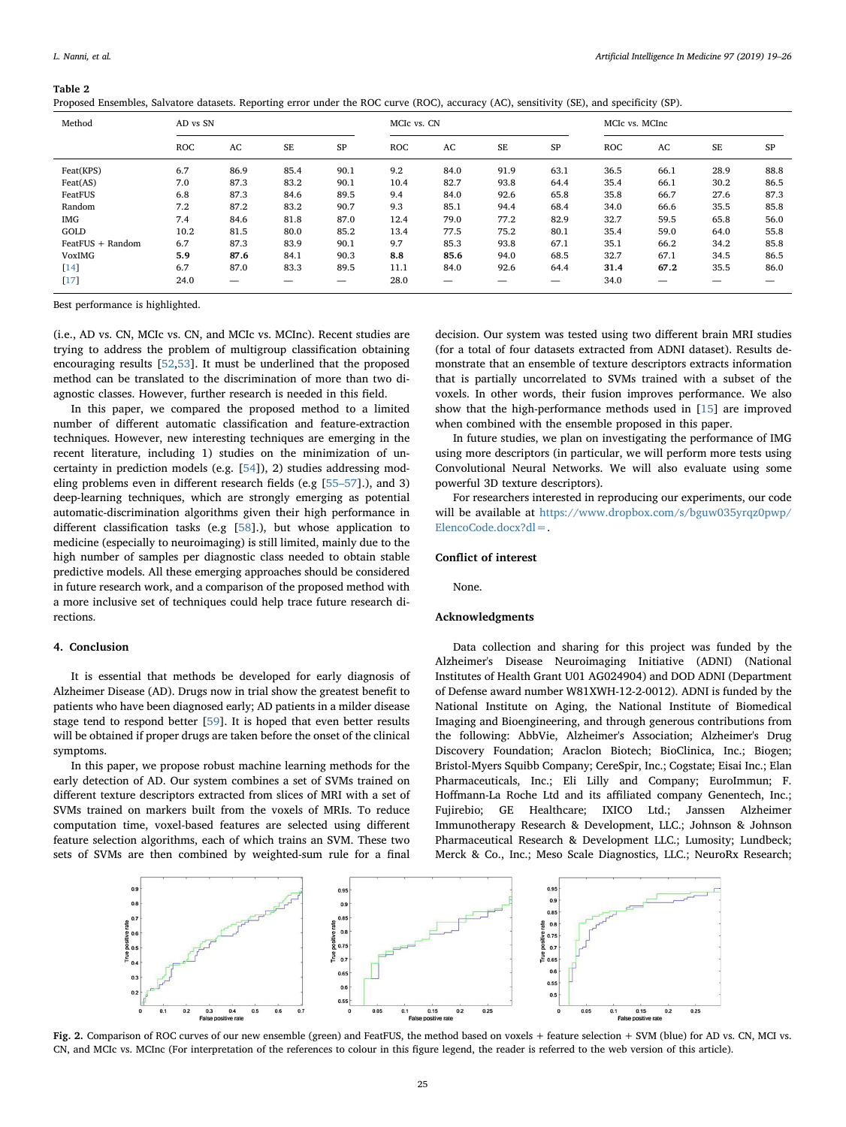#### <span id="page-6-1"></span>Table 2

| Method           |            | AD vs SN |      |           |      | MCIC vs. CN |           |      |            | MCIc vs. MCInc |      |           |  |
|------------------|------------|----------|------|-----------|------|-------------|-----------|------|------------|----------------|------|-----------|--|
|                  | <b>ROC</b> | AC       | SE   | <b>SP</b> | ROC  | AC          | <b>SE</b> | SP   | <b>ROC</b> | AC             | SE   | <b>SP</b> |  |
| Feat(KPS)        | 6.7        | 86.9     | 85.4 | 90.1      | 9.2  | 84.0        | 91.9      | 63.1 | 36.5       | 66.1           | 28.9 | 88.8      |  |
| Feat(AS)         | 7.0        | 87.3     | 83.2 | 90.1      | 10.4 | 82.7        | 93.8      | 64.4 | 35.4       | 66.1           | 30.2 | 86.5      |  |
| FeatFUS          | 6.8        | 87.3     | 84.6 | 89.5      | 9.4  | 84.0        | 92.6      | 65.8 | 35.8       | 66.7           | 27.6 | 87.3      |  |
| Random           | 7.2        | 87.2     | 83.2 | 90.7      | 9.3  | 85.1        | 94.4      | 68.4 | 34.0       | 66.6           | 35.5 | 85.8      |  |
| <b>IMG</b>       | 7.4        | 84.6     | 81.8 | 87.0      | 12.4 | 79.0        | 77.2      | 82.9 | 32.7       | 59.5           | 65.8 | 56.0      |  |
| GOLD             | 10.2       | 81.5     | 80.0 | 85.2      | 13.4 | 77.5        | 75.2      | 80.1 | 35.4       | 59.0           | 64.0 | 55.8      |  |
| FeatFUS + Random | 6.7        | 87.3     | 83.9 | 90.1      | 9.7  | 85.3        | 93.8      | 67.1 | 35.1       | 66.2           | 34.2 | 85.8      |  |
| <b>VoxIMG</b>    | 5.9        | 87.6     | 84.1 | 90.3      | 8.8  | 85.6        | 94.0      | 68.5 | 32.7       | 67.1           | 34.5 | 86.5      |  |
| [14]             | 6.7        | 87.0     | 83.3 | 89.5      | 11.1 | 84.0        | 92.6      | 64.4 | 31.4       | 67.2           | 35.5 | 86.0      |  |
| $[17]$           | 24.0       | —        |      |           | 28.0 |             |           | –    | 34.0       | –              |      |           |  |

Proposed Ensembles, Salvatore datasets. Reporting error under the ROC curve (ROC), accuracy (AC), sensitivity (SE), and specificity (SP).

Best performance is highlighted.

(i.e., AD vs. CN, MCIc vs. CN, and MCIc vs. MCInc). Recent studies are trying to address the problem of multigroup classification obtaining encouraging results [[52,](#page-7-42)[53](#page-7-43)]. It must be underlined that the proposed method can be translated to the discrimination of more than two diagnostic classes. However, further research is needed in this field.

In this paper, we compared the proposed method to a limited number of different automatic classification and feature-extraction techniques. However, new interesting techniques are emerging in the recent literature, including 1) studies on the minimization of uncertainty in prediction models (e.g. [\[54](#page-7-44)]), 2) studies addressing modeling problems even in different research fields (e.g [55–[57\]](#page-7-45).), and 3) deep-learning techniques, which are strongly emerging as potential automatic-discrimination algorithms given their high performance in different classification tasks (e.g [[58\]](#page-7-46).), but whose application to medicine (especially to neuroimaging) is still limited, mainly due to the high number of samples per diagnostic class needed to obtain stable predictive models. All these emerging approaches should be considered in future research work, and a comparison of the proposed method with a more inclusive set of techniques could help trace future research directions.

#### <span id="page-6-0"></span>4. Conclusion

It is essential that methods be developed for early diagnosis of Alzheimer Disease (AD). Drugs now in trial show the greatest benefit to patients who have been diagnosed early; AD patients in a milder disease stage tend to respond better [[59\]](#page-7-47). It is hoped that even better results will be obtained if proper drugs are taken before the onset of the clinical symptoms.

In this paper, we propose robust machine learning methods for the early detection of AD. Our system combines a set of SVMs trained on different texture descriptors extracted from slices of MRI with a set of SVMs trained on markers built from the voxels of MRIs. To reduce computation time, voxel-based features are selected using different feature selection algorithms, each of which trains an SVM. These two sets of SVMs are then combined by weighted-sum rule for a final

decision. Our system was tested using two different brain MRI studies (for a total of four datasets extracted from ADNI dataset). Results demonstrate that an ensemble of texture descriptors extracts information that is partially uncorrelated to SVMs trained with a subset of the voxels. In other words, their fusion improves performance. We also show that the high-performance methods used in [[15\]](#page-7-14) are improved when combined with the ensemble proposed in this paper.

In future studies, we plan on investigating the performance of IMG using more descriptors (in particular, we will perform more tests using Convolutional Neural Networks. We will also evaluate using some powerful 3D texture descriptors).

For researchers interested in reproducing our experiments, our code will be available at [https://www.dropbox.com/s/bguw035yrqz0pwp/](https://www.dropbox.com/s/bguw035yrqz0pwp/ElencoCode.docx?dl=)  $ElencoCode$ .docx?dl=

# Conflict of interest

None.

# Acknowledgments

Data collection and sharing for this project was funded by the Alzheimer's Disease Neuroimaging Initiative (ADNI) (National Institutes of Health Grant U01 AG024904) and DOD ADNI (Department of Defense award number W81XWH-12-2-0012). ADNI is funded by the National Institute on Aging, the National Institute of Biomedical Imaging and Bioengineering, and through generous contributions from the following: AbbVie, Alzheimer's Association; Alzheimer's Drug Discovery Foundation; Araclon Biotech; BioClinica, Inc.; Biogen; Bristol-Myers Squibb Company; CereSpir, Inc.; Cogstate; Eisai Inc.; Elan Pharmaceuticals, Inc.; Eli Lilly and Company; EuroImmun; F. Hoffmann-La Roche Ltd and its affiliated company Genentech, Inc.; Fujirebio; GE Healthcare; IXICO Ltd.; Janssen Alzheimer Immunotherapy Research & Development, LLC.; Johnson & Johnson Pharmaceutical Research & Development LLC.; Lumosity; Lundbeck; Merck & Co., Inc.; Meso Scale Diagnostics, LLC.; NeuroRx Research;

<span id="page-6-2"></span>

Fig. 2. Comparison of ROC curves of our new ensemble (green) and FeatFUS, the method based on voxels + feature selection + SVM (blue) for AD vs. CN, MCI vs. CN, and MCIc vs. MCInc (For interpretation of the references to colour in this figure legend, the reader is referred to the web version of this article).